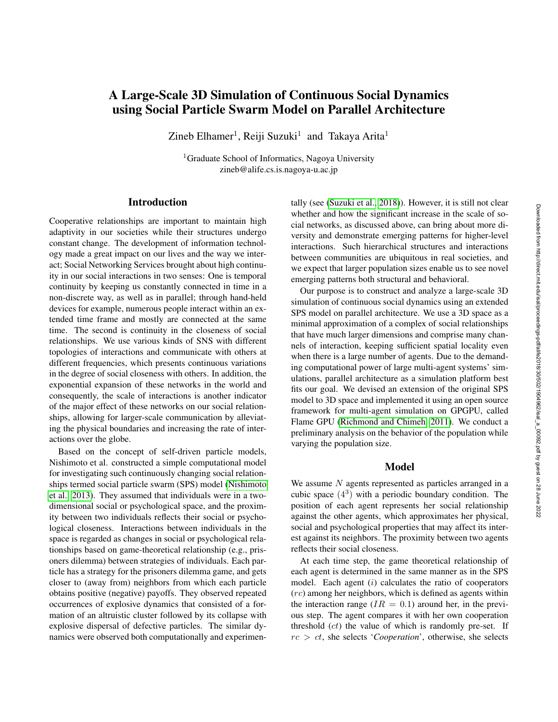# A Large-Scale 3D Simulation of Continuous Social Dynamics using Social Particle Swarm Model on Parallel Architecture

Zineb Elhamer<sup>1</sup>, Reiji Suzuki<sup>1</sup> and Takaya Arita<sup>1</sup>

<sup>1</sup>Graduate School of Informatics, Nagoya University zineb@alife.cs.is.nagoya-u.ac.jp

### Introduction

Cooperative relationships are important to maintain high adaptivity in our societies while their structures undergo constant change. The development of information technology made a great impact on our lives and the way we interact; Social Networking Services brought about high continuity in our social interactions in two senses: One is temporal continuity by keeping us constantly connected in time in a non-discrete way, as well as in parallel; through hand-held devices for example, numerous people interact within an extended time frame and mostly are connected at the same time. The second is continuity in the closeness of social relationships. We use various kinds of SNS with different topologies of interactions and communicate with others at different frequencies, which presents continuous variations in the degree of social closeness with others. In addition, the exponential expansion of these networks in the world and consequently, the scale of interactions is another indicator of the major effect of these networks on our social relationships, allowing for larger-scale communication by alleviating the physical boundaries and increasing the rate of interactions over the globe.

Based on the concept of self-driven particle models, Nishimoto et al. constructed a simple computational model for investigating such continuously changing social relationships termed social particle swarm (SPS) model [\(Nishimoto](#page-1-0) [et al., 2013\)](#page-1-0). They assumed that individuals were in a twodimensional social or psychological space, and the proximity between two individuals reflects their social or psychological closeness. Interactions between individuals in the space is regarded as changes in social or psychological relationships based on game-theoretical relationship (e.g., prisoners dilemma) between strategies of individuals. Each particle has a strategy for the prisoners dilemma game, and gets closer to (away from) neighbors from which each particle obtains positive (negative) payoffs. They observed repeated occurrences of explosive dynamics that consisted of a formation of an altruistic cluster followed by its collapse with explosive dispersal of defective particles. The similar dynamics were observed both computationally and experimen-

tally (see [\(Suzuki et al., 2018\)](#page-1-1)). However, it is still not clear whether and how the significant increase in the scale of social networks, as discussed above, can bring about more diversity and demonstrate emerging patterns for higher-level interactions. Such hierarchical structures and interactions between communities are ubiquitous in real societies, and we expect that larger population sizes enable us to see novel emerging patterns both structural and behavioral.

Our purpose is to construct and analyze a large-scale 3D simulation of continuous social dynamics using an extended SPS model on parallel architecture. We use a 3D space as a minimal approximation of a complex of social relationships that have much larger dimensions and comprise many channels of interaction, keeping sufficient spatial locality even when there is a large number of agents. Due to the demanding computational power of large multi-agent systems' simulations, parallel architecture as a simulation platform best fits our goal. We devised an extension of the original SPS model to 3D space and implemented it using an open source framework for multi-agent simulation on GPGPU, called Flame GPU [\(Richmond and Chimeh, 2011\)](#page-1-2). We conduct a preliminary analysis on the behavior of the population while varying the population size.

## Model

We assume  $N$  agents represented as particles arranged in a cubic space  $(4^3)$  with a periodic boundary condition. The position of each agent represents her social relationship against the other agents, which approximates her physical, social and psychological properties that may affect its interest against its neighbors. The proximity between two agents reflects their social closeness.

At each time step, the game theoretical relationship of each agent is determined in the same manner as in the SPS model. Each agent  $(i)$  calculates the ratio of cooperators  $(rc)$  among her neighbors, which is defined as agents within the interaction range ( $IR = 0.1$ ) around her, in the previous step. The agent compares it with her own cooperation threshold  $(ct)$  the value of which is randomly pre-set. If rc > ct, she selects '*Cooperation*', otherwise, she selects